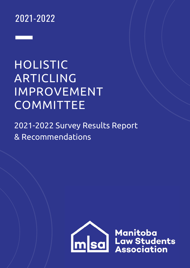# 2021-2022

# HOLISTIC ARTICLING IMPROVEMENT COMMITTEE

2021-2022 Survey Results Report & Recommendations



**Example 3 Manitoba**<br> **Example 3 Manitoba**<br> **Association**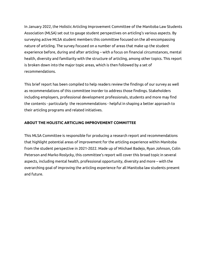In January 2022, the Holistic Articling Improvement Committee of the Manitoba Law Students Association (MLSA) set out to gauge student perspectives on articling's various aspects. By surveying active MLSA student members this committee focused on the all-encompassing nature of articling. The survey focused on a number of areas that make up the student experience before, during and after articling – with a focus on financial circumstances, mental health, diversity and familiarity with the structure of articling, among other topics. This report is broken down into the major topic areas, which is then followed by a set of recommendations.

This brief report has been compiled to help readers review the findings of our survey as well as recommendations of this committee inorder to address those findings. Stakeholders including employers, professional development professionals, students and more may find the contents - particularly the recommendations - helpful in shaping a better approach to their articling programs and related initiatives.

# **ABOUT THE HOLISTIC ARTICLING IMPROVEMENT COMMITTEE**

This MLSA Committee is responsible for producing a research report and recommendations that highlight potential areas of improvement for the articling experience within Manitoba from the student perspective in 2021-2022. Made up of Miichael Badejo, Ryan Johnson, Colin Peterson and Marko Roslycky, this committee's report will cover this broad topic in several aspects, including mental health, professional opportunity, diversity and more – with the overarching goal of improving the articling experience for all Manitoba law students present and future.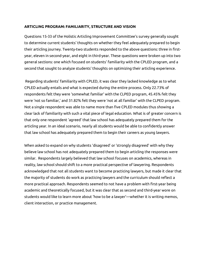#### **ARTICLING PROGRAM: FAMILIARITY, STRUCTURE AND VISION**

Questions 15-33 of the Holistic Articling Improvement Committee's survey generally sought to determine current students' thoughts on whether they feel adequately prepared to begin their articling journey. Twenty-two students responded to the above questions: three in firstyear, eleven in second-year, and eight in third-year. These questions were broken up into two general sections: one which focused on students' familiarity with the CPLED program, and a second that sought to analyze students' thoughts on optimizing their articling experience.

Regarding students' familiarity with CPLED, it was clear they lacked knowledge as to what CPLED actually entails and what is expected during the entire process. Only 22.73% of respondents felt they were 'somewhat familiar' with the CLPED program, 45.45% felt they were 'not so familiar,' and 31.82% felt they were 'not at all familiar' with the CLPED program. Not a single respondent was able to name more than five CPLED modules thus showing a clear lack of familiarity with such a vital piece of legal education. What is of greater concern is that only one respondent 'agreed' that law school has adequately prepared them for the articling year. In an ideal scenario, nearly all students would be able to confidently answer that law school has adequately prepared them to begin their careers as young lawyers.

When asked to expand on why students 'disagreed' or 'strongly disagreed' with why they believe law school has not adequately prepared them to begin articling the responses were similar. Respondents largely believed that law school focuses on academics, whereas in reality, law school should shift to a more practical perspective of lawyering. Respondents acknowledged that not all students want to become practicing lawyers, but made it clear that the majority of students do work as practicing lawyers and the curriculum should reflect a more practical approach. Respondents seemed to not have a problem with first-year being academic and theoretically focused, but it was clear that as second and third-year wore on students would like to learn more about 'how to be a lawyer'—whether it is writing memos, client interaction, or practice management.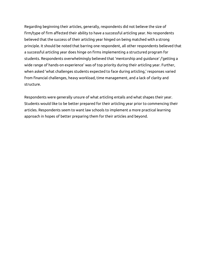Regarding beginning their articles, generally, respondents did not believe the size of firm/type of firm affected their ability to have a successful articling year. No respondents believed that the success of their articling year hinged on being matched with a strong principle. It should be noted that barring one respondent, all other respondents believed that a successful articling year does hinge on firms implementing a structured program for students. Respondents overwhelmingly believed that 'mentorship and guidance' /'getting a wide range of hands-on experience' was of top priority during their articling year. Further, when asked 'what challenges students expected to face during articling,' responses varied from financial challenges, heavy workload, time management, and a lack of clarity and structure.

Respondents were generally unsure of what articling entails and what shapes their year. Students would like to be better prepared for their articling year prior to commencing their articles. Respondents seem to want law schools to implement a more practical learning approach in hopes of better preparing them for their articles and beyond.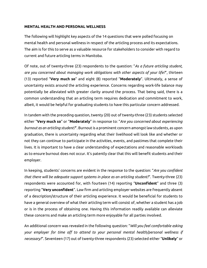#### **MENTAL HEALTH AND PERSONAL WELLNESS**

The following will highlight key aspects of the 14 questions that were polled focusing on mental health and personal wellness in respect of the articling process and its expectations. The aim is for this to serve as a valuable resource for stakeholders to consider with regard to current and future articling terms in Manitoba.

Of note, out of twenty-three (23) respondents to the question: "*As a future articling student, are you concerned about managing work obligations with other aspects of your life?*", thirteen (13) reported "**Very much so**" and eight (8) reported "**Moderately**". Ultimately, a sense of uncertainty exists around the articling experience. Concerns regarding work-life balance may potentially be alleviated with greater clarity around the process. That being said, there is a common understanding that an articling term requires dedication and commitment to work, albeit, it would be helpful for graduating students to have this particular concern addressed.

In tandem with the preceding question, twenty (20) out of twenty-three (23) students selected either "**Very much so**" or "**Moderately**" in response to: "*Are you concerned about experiencing burnout as an articling student?*". Burnout is a prominent concern amongst law students, as upon graduation, there is uncertainty regarding what their livelihood will look like and whether or not they can continue to participate in the activities, events, and pastimes that complete their lives. It is important to have a clear understanding of expectations and reasonable workloads as to ensure burnout does not occur. It's patently clear that this will benefit students and their employer.

In keeping, students' concerns are evident in the response to the question: "*Are you confident that there will be adequate support systems in place as an articling student?*". Twenty-three (23) respondents were accounted for, with fourteen (14) reporting "**Unconfident**" and three (3) reporting "**Very unconfident**". Law firm and articling employer websites are frequently absent of a description/structure of their articling experience. It would be beneficial for students to have a general overview of what their articling term will consist of, whether a student has a job or is in the process of obtaining one. Having this information readily available can alleviate these concerns and make an articling term more enjoyable for all parties involved.

An additional concern was revealed in the following question: "*Will you feel comfortable asking your employer for time off to attend to your personal mental health/personal wellness if necessary?*". Seventeen (17) out of twenty-three respondents (23) selected either "**Unlikely**" or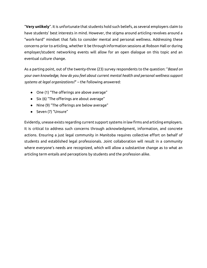"**Very unlikely**". It is unfortunate that students hold such beliefs, as several employers claim to have students' best interests in mind. However, the stigma around articling revolves around a "work-hard" mindset that fails to consider mental and personal wellness. Addressing these concerns prior to articling, whether it be through information sessions at Robson Hall or during employer/student networking events will allow for an open dialogue on this topic and an eventual culture change.

As a parting point, out of the twenty-three (23) survey respondents to the question: "*Based on your own knowledge, how do you feel about current mental health and personal wellness support systems at legal organizations?*" – the following answered:

- One (1) "The offerings are above average"
- Six (6) "The offerings are about average"
- Nine (9) "The offerings are below average"
- Seven (7) "Unsure"

Evidently, unease exists regarding current support systems in law firms and articling employers. It is critical to address such concerns through acknowledgment, information, and concrete actions. Ensuring a just legal community in Manitoba requires collective effort on behalf of students and established legal professionals. Joint collaboration will result in a community where everyone's needs are recognized, which will allow a substantive change as to what an articling term entails and perceptions by students and the profession alike.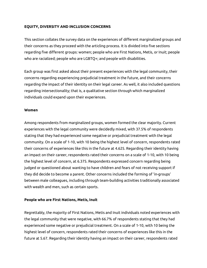### **EQUITY, DIVERSITY AND INCLUSION CONCERNS**

This section collates the survey data on the experiences of different marginalized groups and their concerns as they proceed with the articling process. It is divided into five sections regarding five different groups: women; people who are First Nations, Metis, or Inuit; people who are racialized; people who are LGBTQ+; and people with disabilities.

Each group was first asked about their present experiences with the legal community, their concerns regarding experiencing prejudicial treatment in the future, and their concerns regarding the impact of their identity on their legal career. As well, it also included questions regarding intersectionality; that is, a qualitative section through which marginalized individuals could expand upon their experiences.

#### **Women**

Among respondents from marginalized groups, women formed the clear majority. Current experiences with the legal community were decidedly mixed, with 37.5% of respondents stating that they had experienced some negative or prejudicial treatment with the legal community. On a scale of 1-10, with 10 being the highest level of concern, respondents rated their concerns of experiences like this in the future at 4.625. Regarding their identity having an impact on their career, respondents rated their concerns on a scale of 1-10, with 10 being the highest level of concern, at 6.375. Respondents expressed concern regarding being judged or questioned about wanting to have children and fears of not receiving support if they did decide to become a parent. Other concerns included the forming of 'in-groups' between male colleagues, including through team-building activities traditionally associated with wealth and men, such as certain sports.

### **People who are First Nations, Metis, Inuit**

Regrettably, the majority of First Nations, Metis and Inuit individuals noted experiences with the legal community that were negative, with 66.7% of respondents stating that they had experienced some negative or prejudicial treatment. On a scale of 1-10, with 10 being the highest level of concern, respondents rated their concerns of experiences like this in the future at 5.67. Regarding their identity having an impact on their career, respondents rated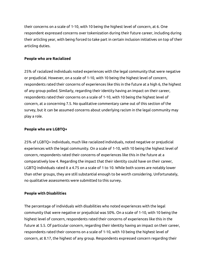their concerns on a scale of 1-10, with 10 being the highest level of concern, at 6. One respondent expressed concerns over tokenization during their future career, including during their articling year, with being forced to take part in certain inclusion initiatives on top of their articling duties.

# **People who are Racialized**

25% of racialized individuals noted experiences with the legal community that were negative or prejudicial. However, on a scale of 1-10, with 10 being the highest level of concern, respondents rated their concerns of experiences like this in the future at a high 6, the highest of any group polled. Similarly, regarding their identity having an impact on their career, respondents rated their concerns on a scale of 1-10, with 10 being the highest level of concern, at a concerning 7.5. No qualitative commentary came out of this section of the survey, but it can be assumed concerns about underlying racism in the legal community may play a role.

# **People who are LGBTQ+**

25% of LGBTQ+ individuals, much like racialized individuals, noted negative or prejudicial experiences with the legal community. On a scale of 1-10, with 10 being the highest level of concern, respondents rated their concerns of experiences like this in the future at a comparatively low 4. Regarding the impact that their identity could have on their career, LGBTQ individuals rated it a 4.75 on a scale of 1 to 10. While both scores are notably lower than other groups, they are still substantial enough to be worth considering. Unfortunately, no qualitative assessments were submitted to this survey.

# **People with Disabilities**

The percentage of individuals with disabilities who noted experiences with the legal community that were negative or prejudicial was 50%. On a scale of 1-10, with 10 being the highest level of concern, respondents rated their concerns of experiences like this in the future at 5.5. Of particular concern, regarding their identity having an impact on their career, respondents rated their concerns on a scale of 1-10, with 10 being the highest level of concern, at 8.17, the highest of any group. Respondents expressed concern regarding their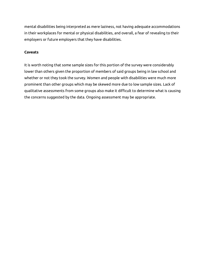mental disabilities being interpreted as mere laziness, not having adequate accommodations in their workplaces for mental or physical disabilities, and overall, a fear of revealing to their employers or future employers that they have disabilities.

# **Caveats**

It is worth noting that some sample sizes for this portion of the survey were considerably lower than others given the proportion of members of said groups being in law school and whether or not they took the survey. Women and people with disabilities were much more prominent than other groups which may be skewed more due to low sample sizes. Lack of qualitative assessments from some groups also make it difficult to determine what is causing the concerns suggested by the data. Ongoing assessment may be appropriate.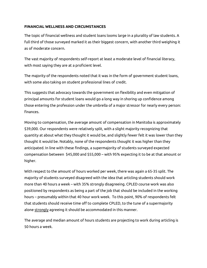### **FINANCIAL WELLNESS AND CIRCUMSTANCES**

The topic of financial wellness and student loans looms large in a plurality of law students. A full third of those surveyed marked it as their biggest concern, with another third weighing it as of moderate concern.

The vast majority of respondents self-report at least a moderate level of financial literacy, with most saying they are at a proficient level.

The majority of the respondents noted that it was in the form of government student loans, with some also taking on student professional lines of credit.

This suggests that advocacy towards the government on flexibility and even mitigation of principal amounts for student loans would go a long way in shoring up confidence among those entering the profession under the umbrella of a major stressor for nearly every person: finances.

Moving to compensation, the average amount of compensation in Manitoba is approximately \$39,000. Our respondents were relatively split, with a slight majority recognizing that quantity at about what they thought it would be, and slightly fewer felt it was lower than they thought it would be. Notably, none of the respondents thought it was higher than they anticipated. In line with these findings, a supermajority of students surveyed expected compensation between \$45,000 and \$55,000 – with 95% expecting it to be at that amount or higher.

With respect to the amount of hours worked per week, there was again a 65-35 split. The majority of students surveyed disagreed with the idea that articling students should work more than 40 hours a week – with 35% strongly disagreeing. CPLED course work was also positioned by respondents as being a part of the job that should be included in the working hours – presumably within that 40 hour work week. To this point, 90% of respondents felt that students should receive time off to complete CPLED, to the tune of a supermajority alone strongly agreeing it should be accommodated in this manner.

The average and median amount of hours students are projecting to work during articling is 50 hours a week.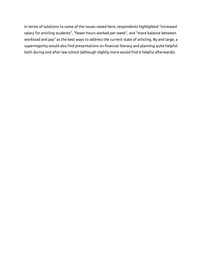In terms of solutions to some of the issues raised here, respondents highlighted "increased salary for articling students", "fewer hours worked per week", and "more balance between workload and pay" as the best ways to address the current state of articling. By and large, a supermajority would also find presentations on financial literacy and planning quite helpful both during and after law school (although slightly more would find it helpful afterwards).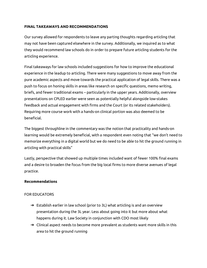# **FINAL TAKEAWAYS AND RECOMMENDATIONS**

Our survey allowed for respondents to leave any parting thoughts regarding articling that may not have been captured elsewhere in the survey. Additionally, we inquired as to what they would recommend law schools do in order to prepare future articling students for the articling experience.

Final takeaways for law schools included suggestions for how to improve the educational experience in the leadup to articling. There were many suggestions to move away from the pure academic aspects and move towards the practical application of legal skills. There was a push to focus on honing skills in areas like research on specific questions, memo writing, briefs, and fewer traditional exams – particularly in the upper years. Additionally, overview presentations on CPLED earlier were seen as potentially helpful alongside low-stakes feedback and actual engagement with firms and the Court (or its related stakeholders). Requiring more course work with a hands-on clinical portion was also deemed to be beneficial.

The biggest throughline in the commentary was the notion that practicality and hands-on learning would be extremely beneficial, with a respondent even noting that "we don't need to memorize everything in a digital world but we do need to be able to hit the ground running in articling with practical skills"

Lastly, perspective that showed up multiple times included want of fewer 100% final exams and a desire to broaden the focus from the big local firms to more diverse avenues of legal practice.

### **Recommendations**

### FOR EDUCATORS

- $\rightarrow$  Establish earlier in law school (prior to 3L) what articling is and an overview presentation during the 3L year. Less about going into it but more about what happens during it. Law Society in conjunction with CDO most likely
- $\rightarrow$  Clinical aspect needs to become more prevalent as students want more skills in this area to hit the ground running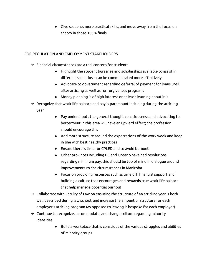● Give students more practical skills, and move away from the focus on theory in those 100% finals

# FOR REGULATION AND EMPLOYMENT STAKEHOLDERS

- ➔ Financial circumstances are a real concern for students
	- Highlight the student bursaries and scholarships available to assist in different scenarios – can be communicated more effectively
	- Advocate to government regarding deferral of payment for loans until after articling as well as for forgiveness programs
	- Money planning is of high interest or at least learning about it is
- $\rightarrow$  Recognize that work-life balance and pay is paramount including during the articling year
	- Pay undershoots the general thought consciousness and advocating for betterment in this area will have an upward effect; the profession should encourage this
	- Add more structure around the expectations of the work week and keep in line with best healthy practices
	- Ensure there is time for CPLED and to avoid burnout
	- Other provinces including BC and Ontario have had resolutions regarding minimum pay; this should be top of mind in dialogue around improvements to the circumstances in Manitoba
	- Focus on providing resources such as time off, financial support and building a culture that encourages and **rewards** true work-life balance that help manage potential burnout
- $\rightarrow$  Collaborate with Faculty of Law on ensuring the structure of an articling year is both well described during law school, and increase the amount of structure for each employer's articling program (as opposed to leaving it bespoke for each employer)
- $\rightarrow$  Continue to recognize, accommodate, and change culture regarding minority identities
	- Build a workplace that is conscious of the various struggles and abilities of minority groups